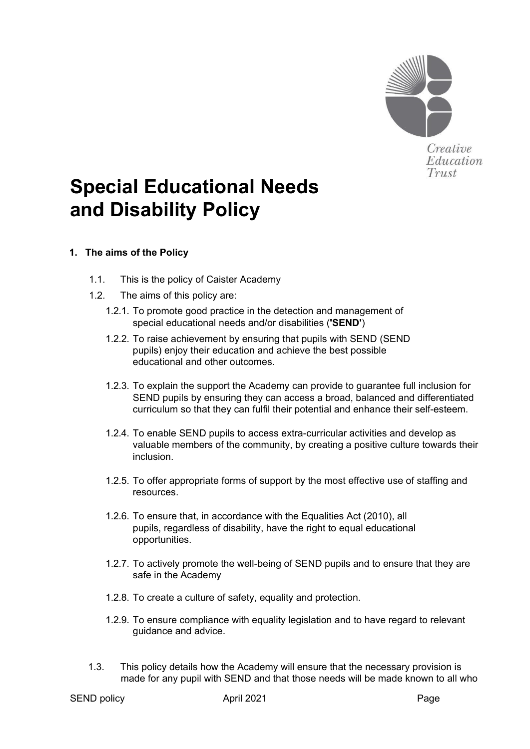

# **Special Educational Needs and Disability Policy**

## **1. The aims of the Policy**

- 1.1. This is the policy of Caister Academy
- 1.2. The aims of this policy are:
	- 1.2.1. To promote good practice in the detection and management of special educational needs and/or disabilities (**'SEND'**)
	- 1.2.2. To raise achievement by ensuring that pupils with SEND (SEND pupils) enjoy their education and achieve the best possible educational and other outcomes.
	- 1.2.3. To explain the support the Academy can provide to guarantee full inclusion for SEND pupils by ensuring they can access a broad, balanced and differentiated curriculum so that they can fulfil their potential and enhance their self-esteem.
	- 1.2.4. To enable SEND pupils to access extra-curricular activities and develop as valuable members of the community, by creating a positive culture towards their inclusion.
	- 1.2.5. To offer appropriate forms of support by the most effective use of staffing and resources.
	- 1.2.6. To ensure that, in accordance with the Equalities Act (2010), all pupils, regardless of disability, have the right to equal educational opportunities.
	- 1.2.7. To actively promote the well-being of SEND pupils and to ensure that they are safe in the Academy
	- 1.2.8. To create a culture of safety, equality and protection.
	- 1.2.9. To ensure compliance with equality legislation and to have regard to relevant guidance and advice.
- 1.3. This policy details how the Academy will ensure that the necessary provision is made for any pupil with SEND and that those needs will be made known to all who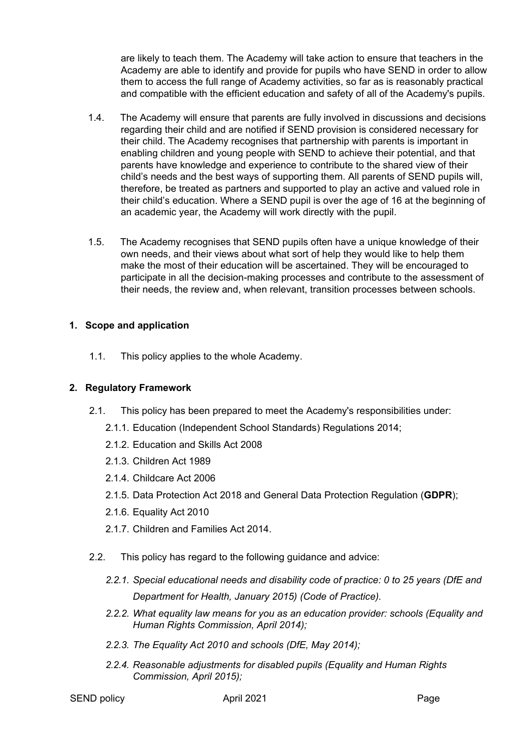are likely to teach them. The Academy will take action to ensure that teachers in the Academy are able to identify and provide for pupils who have SEND in order to allow them to access the full range of Academy activities, so far as is reasonably practical and compatible with the efficient education and safety of all of the Academy's pupils.

- 1.4. The Academy will ensure that parents are fully involved in discussions and decisions regarding their child and are notified if SEND provision is considered necessary for their child. The Academy recognises that partnership with parents is important in enabling children and young people with SEND to achieve their potential, and that parents have knowledge and experience to contribute to the shared view of their child's needs and the best ways of supporting them. All parents of SEND pupils will, therefore, be treated as partners and supported to play an active and valued role in their child's education. Where a SEND pupil is over the age of 16 at the beginning of an academic year, the Academy will work directly with the pupil.
- 1.5. The Academy recognises that SEND pupils often have a unique knowledge of their own needs, and their views about what sort of help they would like to help them make the most of their education will be ascertained. They will be encouraged to participate in all the decision-making processes and contribute to the assessment of their needs, the review and, when relevant, transition processes between schools.

## **1. Scope and application**

1.1. This policy applies to the whole Academy.

## **2. Regulatory Framework**

- 2.1. This policy has been prepared to meet the Academy's responsibilities under:
	- 2.1.1. Education (Independent School Standards) Regulations 2014;
	- 2.1.2. Education and Skills Act 2008
	- 2.1.3. Children Act 1989
	- 2.1.4. Childcare Act 2006
	- 2.1.5. Data Protection Act 2018 and General Data Protection Regulation (**GDPR**);
	- 2.1.6. Equality Act 2010
	- 2.1.7. Children and Families Act 2014.
- 2.2. This policy has regard to the following guidance and advice:
	- *2.2.1. [Special educational needs and disability code of practice: 0 to 25 years \(DfE and](https://www.gov.uk/government/uploads/system/uploads/attachment_data/file/398815/SEND_Code_of_Practice_January_2015.pdf)  [Department for Health, January 2015\)](https://www.gov.uk/government/uploads/system/uploads/attachment_data/file/398815/SEND_Code_of_Practice_January_2015.pdf) (Code of Practice).*
	- *2.2.2. [What equality law means for you as an education provider: schools \(Equality and](https://www.equalityhumanrights.com/sites/default/files/what_equality_law_means_for_you_as_an_education_provider_schools.pdf)  [Human Rights Commission, April 2014\);](https://www.equalityhumanrights.com/sites/default/files/what_equality_law_means_for_you_as_an_education_provider_schools.pdf)*
	- *2.2.3. [The Equality Act 2010 and schools \(DfE, May 2014\);](https://www.gov.uk/government/uploads/system/uploads/attachment_data/file/315587/Equality_Act_Advice_Final.pdf)*
	- *2.2.4. [Reasonable adjustments for disabled pupils \(Equality and Human Rights](https://www.equalityhumanrights.com/sites/default/files/reasonable_adjustments_for_disabled_pupils_1.pdf)  [Commission, April 2015\);](https://www.equalityhumanrights.com/sites/default/files/reasonable_adjustments_for_disabled_pupils_1.pdf)*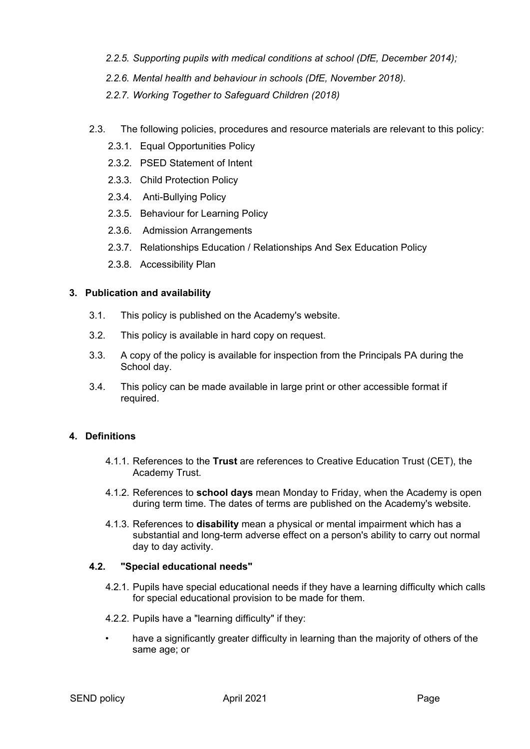- *2.2.5. [Supporting pupils with medical conditions at school \(DfE, December 2014\);](https://www.gov.uk/government/publications/supporting-pupils-at-school-with-medical-conditions--3)*
- *2.2.6. [Mental health and behaviour in schools \(DfE, November 2018\).](https://www.gov.uk/government/publications/mental-health-and-behaviour-in-schools--2)*
- *2.2.7. Working Together to Safeguard Children (2018)*
- 2.3. The following policies, procedures and resource materials are relevant to this policy:
	- 2.3.1. Equal Opportunities Policy
	- 2.3.2. PSED Statement of Intent
	- 2.3.3. Child Protection Policy
	- 2.3.4. Anti-Bullying Policy
	- 2.3.5. Behaviour for Learning Policy
	- 2.3.6. Admission Arrangements
	- 2.3.7. Relationships Education / Relationships And Sex Education Policy
	- 2.3.8. Accessibility Plan

#### **3. Publication and availability**

- 3.1. This policy is published on the Academy's website.
- 3.2. This policy is available in hard copy on request.
- 3.3. A copy of the policy is available for inspection from the Principals PA during the School day.
- 3.4. This policy can be made available in large print or other accessible format if required.

#### **4. Definitions**

- 4.1.1. References to the **Trust** are references to Creative Education Trust (CET), the Academy Trust.
- 4.1.2. References to **school days** mean Monday to Friday, when the Academy is open during term time. The dates of terms are published on the Academy's website.
- 4.1.3. References to **disability** mean a physical or mental impairment which has a substantial and long-term adverse effect on a person's ability to carry out normal day to day activity.

#### **4.2. "Special educational needs"**

- 4.2.1. Pupils have special educational needs if they have a learning difficulty which calls for special educational provision to be made for them.
- 4.2.2. Pupils have a "learning difficulty" if they:
- <span id="page-2-0"></span>have a significantly greater difficulty in learning than the majority of others of the same age; or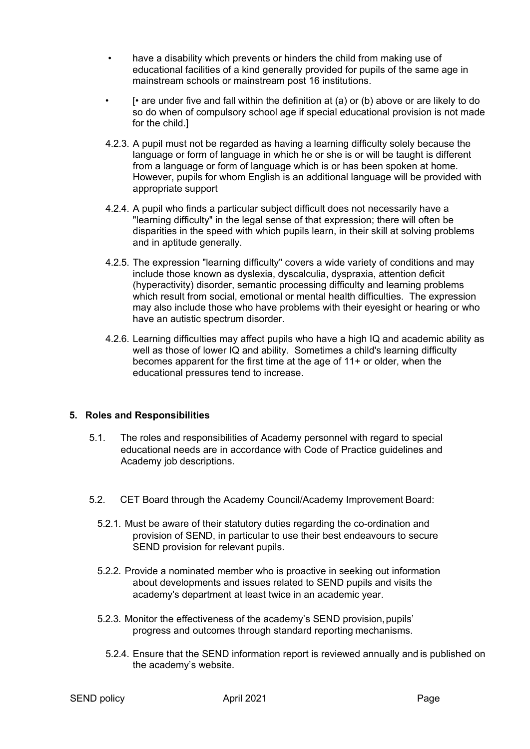- <span id="page-3-0"></span>• have a disability which prevents or hinders the child from making use of educational facilities of a kind generally provided for pupils of the same age in mainstream schools or mainstream post 16 institutions.
	- [• are under five and fall within the definition at [\(a\)](#page-2-0) or [\(b\)](#page-3-0) above or are likely to do so do when of compulsory school age if special educational provision is not made for the child.]
- 4.2.3. A pupil must not be regarded as having a learning difficulty solely because the language or form of language in which he or she is or will be taught is different from a language or form of language which is or has been spoken at home. However, pupils for whom English is an additional language will be provided with appropriate support
- 4.2.4. A pupil who finds a particular subject difficult does not necessarily have a "learning difficulty" in the legal sense of that expression; there will often be disparities in the speed with which pupils learn, in their skill at solving problems and in aptitude generally.
- 4.2.5. The expression "learning difficulty" covers a wide variety of conditions and may include those known as dyslexia, dyscalculia, dyspraxia, attention deficit (hyperactivity) disorder, semantic processing difficulty and learning problems which result from social, emotional or mental health difficulties. The expression may also include those who have problems with their eyesight or hearing or who have an autistic spectrum disorder.
- 4.2.6. Learning difficulties may affect pupils who have a high IQ and academic ability as well as those of lower IQ and ability. Sometimes a child's learning difficulty becomes apparent for the first time at the age of 11+ or older, when the educational pressures tend to increase.

#### **5. Roles and Responsibilities**

- 5.1. The roles and responsibilities of Academy personnel with regard to special educational needs are in accordance with Code of Practice guidelines and Academy job descriptions.
- 5.2. CET Board through the Academy Council/Academy Improvement Board:
	- 5.2.1. Must be aware of their statutory duties regarding the co-ordination and provision of SEND, in particular to use their best endeavours to secure SEND provision for relevant pupils.
	- 5.2.2. Provide a nominated member who is proactive in seeking out information about developments and issues related to SEND pupils and visits the academy's department at least twice in an academic year.
	- 5.2.3. Monitor the effectiveness of the academy's SEND provision, pupils' progress and outcomes through standard reporting mechanisms.
		- 5.2.4. Ensure that the SEND information report is reviewed annually and is published on the academy's website.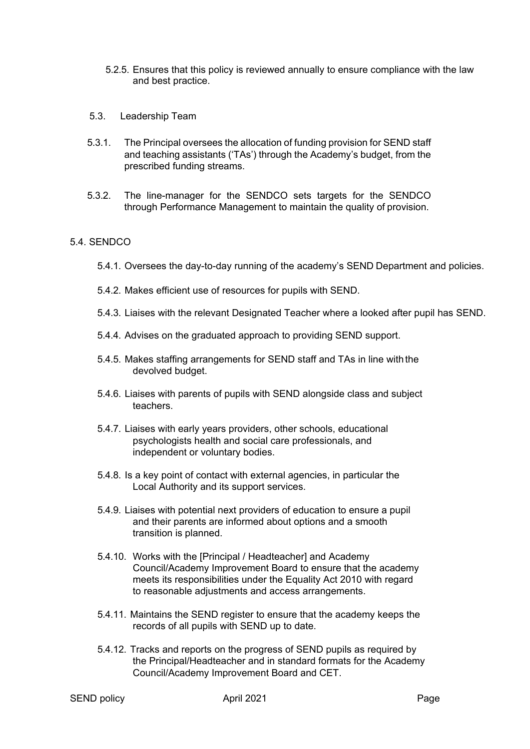- 5.2.5. Ensures that this policy is reviewed annually to ensure compliance with the law and best practice.
- 5.3. Leadership Team
- 5.3.1. The Principal oversees the allocation of funding provision for SEND staff and teaching assistants ('TAs') through the Academy's budget, from the prescribed funding streams.
- 5.3.2. The line-manager for the SENDCO sets targets for the SENDCO through Performance Management to maintain the quality of provision.

#### 5.4. SENDCO

- 5.4.1. Oversees the day-to-day running of the academy's SEND Department and policies.
- 5.4.2. Makes efficient use of resources for pupils with SEND.
- 5.4.3. Liaises with the relevant Designated Teacher where a looked after pupil has SEND.
- 5.4.4. Advises on the graduated approach to providing SEND support.
- 5.4.5. Makes staffing arrangements for SEND staff and TAs in line with the devolved budget.
- 5.4.6. Liaises with parents of pupils with SEND alongside class and subject teachers.
- 5.4.7. Liaises with early years providers, other schools, educational psychologists health and social care professionals, and independent or voluntary bodies.
- 5.4.8. Is a key point of contact with external agencies, in particular the Local Authority and its support services.
- 5.4.9. Liaises with potential next providers of education to ensure a pupil and their parents are informed about options and a smooth transition is planned.
- 5.4.10. Works with the [Principal / Headteacher] and Academy Council/Academy Improvement Board to ensure that the academy meets its responsibilities under the Equality Act 2010 with regard to reasonable adjustments and access arrangements.
- 5.4.11. Maintains the SEND register to ensure that the academy keeps the records of all pupils with SEND up to date.
- 5.4.12. Tracks and reports on the progress of SEND pupils as required by the Principal/Headteacher and in standard formats for the Academy Council/Academy Improvement Board and CET.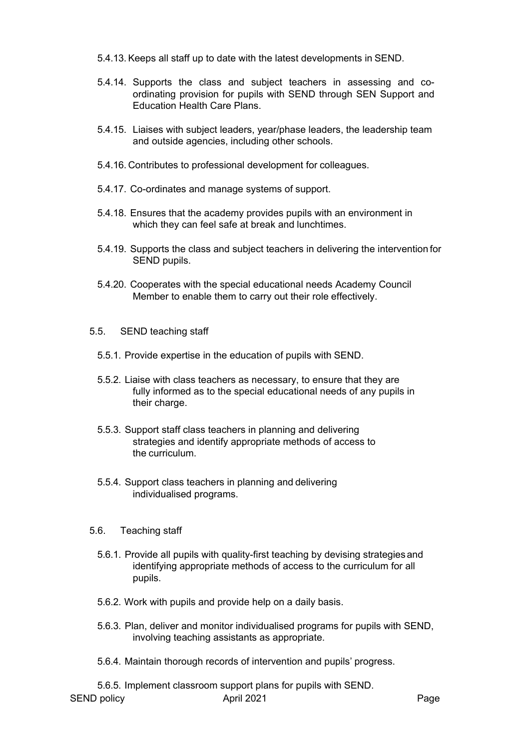- 5.4.13. Keeps all staff up to date with the latest developments in SEND.
- 5.4.14. Supports the class and subject teachers in assessing and coordinating provision for pupils with SEND through SEN Support and Education Health Care Plans.
- 5.4.15. Liaises with subject leaders, year/phase leaders, the leadership team and outside agencies, including other schools.
- 5.4.16. Contributes to professional development for colleagues.
- 5.4.17. Co-ordinates and manage systems of support.
- 5.4.18. Ensures that the academy provides pupils with an environment in which they can feel safe at break and lunchtimes.
- 5.4.19. Supports the class and subject teachers in delivering the intervention for SEND pupils.
- 5.4.20. Cooperates with the special educational needs Academy Council Member to enable them to carry out their role effectively.
- 5.5. SEND teaching staff
	- 5.5.1. Provide expertise in the education of pupils with SEND.
	- 5.5.2. Liaise with class teachers as necessary, to ensure that they are fully informed as to the special educational needs of any pupils in their charge.
	- 5.5.3. Support staff class teachers in planning and delivering strategies and identify appropriate methods of access to the curriculum.
	- 5.5.4. Support class teachers in planning and delivering individualised programs.
- 5.6. Teaching staff
	- 5.6.1. Provide all pupils with quality-first teaching by devising strategies and identifying appropriate methods of access to the curriculum for all pupils.
	- 5.6.2. Work with pupils and provide help on a daily basis.
	- 5.6.3. Plan, deliver and monitor individualised programs for pupils with SEND, involving teaching assistants as appropriate.
	- 5.6.4. Maintain thorough records of intervention and pupils' progress.
- SEND policy and the April 2021 April 2021 **Page** 5.6.5. Implement classroom support plans for pupils with SEND.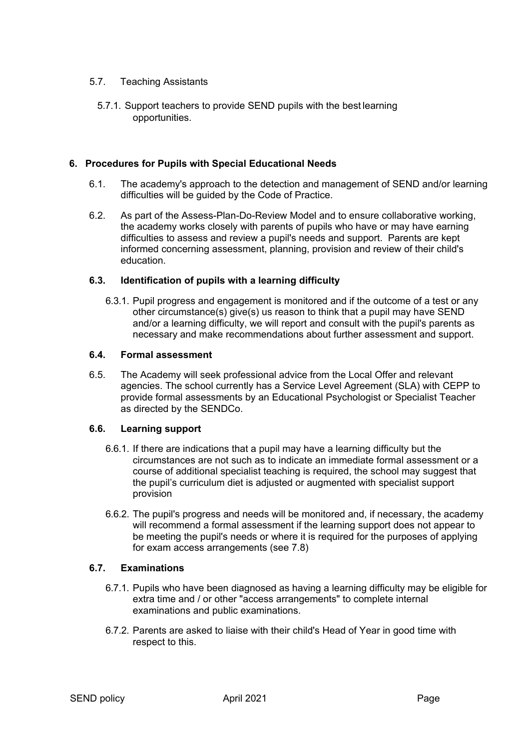#### 5.7. Teaching Assistants

5.7.1. Support teachers to provide SEND pupils with the best learning opportunities.

#### **6. Procedures for Pupils with Special Educational Needs**

- 6.1. The academy's approach to the detection and management of SEND and/or learning difficulties will be guided by the Code of Practice.
- 6.2. As part of the Assess-Plan-Do-Review Model and to ensure collaborative working, the academy works closely with parents of pupils who have or may have earning difficulties to assess and review a pupil's needs and support. Parents are kept informed concerning assessment, planning, provision and review of their child's education.

#### **6.3. Identification of pupils with a learning difficulty**

6.3.1. Pupil progress and engagement is monitored and if the outcome of a test or any other circumstance(s) give(s) us reason to think that a pupil may have SEND and/or a learning difficulty, we will report and consult with the pupil's parents as necessary and make recommendations about further assessment and support.

#### **6.4. Formal assessment**

6.5. The Academy will seek professional advice from the Local Offer and relevant agencies. The school currently has a Service Level Agreement (SLA) with CEPP to provide formal assessments by an Educational Psychologist or Specialist Teacher as directed by the SENDCo.

#### **6.6. Learning support**

- 6.6.1. If there are indications that a pupil may have a learning difficulty but the circumstances are not such as to indicate an immediate formal assessment or a course of additional specialist teaching is required, the school may suggest that the pupil's curriculum diet is adjusted or augmented with specialist support provision
- 6.6.2. The pupil's progress and needs will be monitored and, if necessary, the academy will recommend a formal assessment if the learning support does not appear to be meeting the pupil's needs or where it is required for the purposes of applying for exam access arrangements (see [7.8\)](#page-6-0)

#### <span id="page-6-0"></span>**6.7. Examinations**

- 6.7.1. Pupils who have been diagnosed as having a learning difficulty may be eligible for extra time and / or other "access arrangements" to complete internal examinations and public examinations.
- 6.7.2. Parents are asked to liaise with their child's Head of Year in good time with respect to this.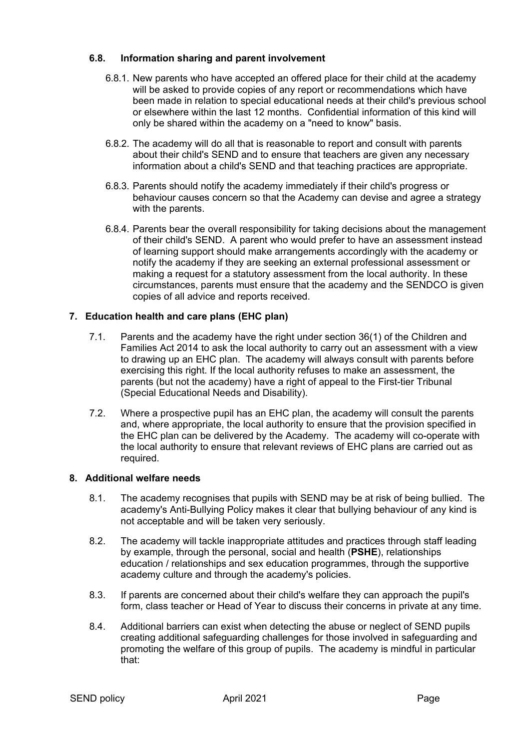## **6.8. Information sharing and parent involvement**

- 6.8.1. New parents who have accepted an offered place for their child at the academy will be asked to provide copies of any report or recommendations which have been made in relation to special educational needs at their child's previous school or elsewhere within the last 12 months. Confidential information of this kind will only be shared within the academy on a "need to know" basis.
- 6.8.2. The academy will do all that is reasonable to report and consult with parents about their child's SEND and to ensure that teachers are given any necessary information about a child's SEND and that teaching practices are appropriate.
- 6.8.3. Parents should notify the academy immediately if their child's progress or behaviour causes concern so that the Academy can devise and agree a strategy with the parents.
- 6.8.4. Parents bear the overall responsibility for taking decisions about the management of their child's SEND. A parent who would prefer to have an assessment instead of learning support should make arrangements accordingly with the academy or notify the academy if they are seeking an external professional assessment or making a request for a statutory assessment from the local authority. In these circumstances, parents must ensure that the academy and the SENDCO is given copies of all advice and reports received.

## **7. Education health and care plans (EHC plan)**

- 7.1. Parents and the academy have the right under section 36(1) of the Children and Families Act 2014 to ask the local authority to carry out an assessment with a view to drawing up an EHC plan. The academy will always consult with parents before exercising this right. If the local authority refuses to make an assessment, the parents (but not the academy) have a right of appeal to the First-tier Tribunal (Special Educational Needs and Disability).
- 7.2. Where a prospective pupil has an EHC plan, the academy will consult the parents and, where appropriate, the local authority to ensure that the provision specified in the EHC plan can be delivered by the Academy. The academy will co-operate with the local authority to ensure that relevant reviews of EHC plans are carried out as required.

#### **8. Additional welfare needs**

- 8.1. The academy recognises that pupils with SEND may be at risk of being bullied. The academy's Anti-Bullying Policy makes it clear that bullying behaviour of any kind is not acceptable and will be taken very seriously.
- 8.2. The academy will tackle inappropriate attitudes and practices through staff leading by example, through the personal, social and health (**PSHE**), relationships education / relationships and sex education programmes, through the supportive academy culture and through the academy's policies.
- 8.3. If parents are concerned about their child's welfare they can approach the pupil's form, class teacher or Head of Year to discuss their concerns in private at any time.
- 8.4. Additional barriers can exist when detecting the abuse or neglect of SEND pupils creating additional safeguarding challenges for those involved in safeguarding and promoting the welfare of this group of pupils. The academy is mindful in particular that: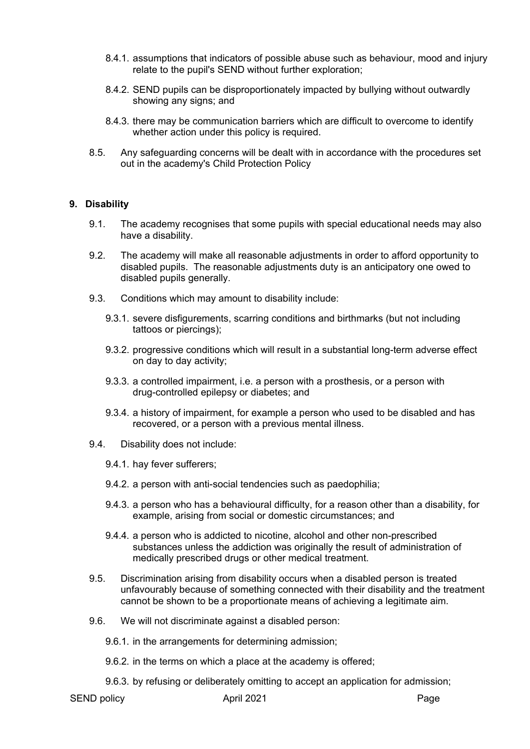- 8.4.1. assumptions that indicators of possible abuse such as behaviour, mood and injury relate to the pupil's SEND without further exploration;
- 8.4.2. SEND pupils can be disproportionately impacted by bullying without outwardly showing any signs; and
- 8.4.3. there may be communication barriers which are difficult to overcome to identify whether action under this policy is required.
- 8.5. Any safeguarding concerns will be dealt with in accordance with the procedures set out in the academy's Child Protection Policy

#### **9. Disability**

- 9.1. The academy recognises that some pupils with special educational needs may also have a disability.
- 9.2. The academy will make all reasonable adjustments in order to afford opportunity to disabled pupils. The reasonable adjustments duty is an anticipatory one owed to disabled pupils generally.
- 9.3. Conditions which may amount to disability include:
	- 9.3.1. severe disfigurements, scarring conditions and birthmarks (but not including tattoos or piercings);
	- 9.3.2. progressive conditions which will result in a substantial long-term adverse effect on day to day activity;
	- 9.3.3. a controlled impairment, i.e. a person with a prosthesis, or a person with drug-controlled epilepsy or diabetes; and
	- 9.3.4. a history of impairment, for example a person who used to be disabled and has recovered, or a person with a previous mental illness.
- 9.4. Disability does not include:
	- 9.4.1. hay fever sufferers;
	- 9.4.2. a person with anti-social tendencies such as paedophilia;
	- 9.4.3. a person who has a behavioural difficulty, for a reason other than a disability, for example, arising from social or domestic circumstances; and
	- 9.4.4. a person who is addicted to nicotine, alcohol and other non-prescribed substances unless the addiction was originally the result of administration of medically prescribed drugs or other medical treatment.
- 9.5. Discrimination arising from disability occurs when a disabled person is treated unfavourably because of something connected with their disability and the treatment cannot be shown to be a proportionate means of achieving a legitimate aim.
- 9.6. We will not discriminate against a disabled person:
	- 9.6.1. in the arrangements for determining admission;
	- 9.6.2. in the terms on which a place at the academy is offered;
	- 9.6.3. by refusing or deliberately omitting to accept an application for admission;

SEND policy and the April 2021 April 2021 **Page**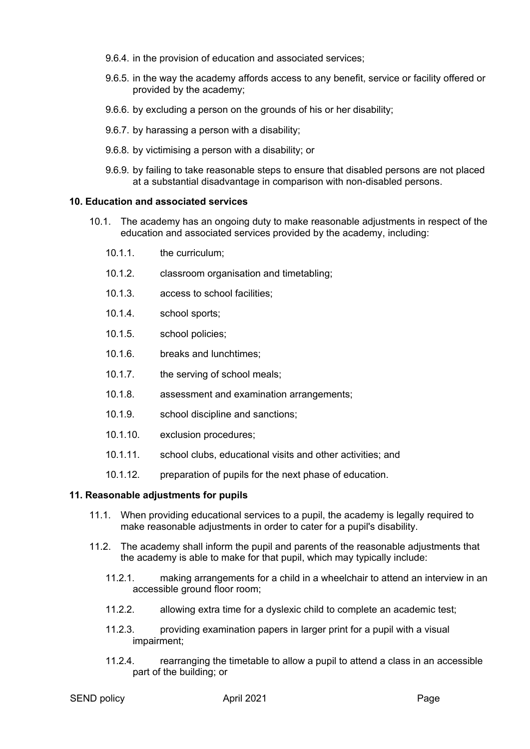- 9.6.4. in the provision of education and associated services;
- 9.6.5. in the way the academy affords access to any benefit, service or facility offered or provided by the academy;
- 9.6.6. by excluding a person on the grounds of his or her disability;
- 9.6.7. by harassing a person with a disability;
- 9.6.8. by victimising a person with a disability; or
- 9.6.9. by failing to take reasonable steps to ensure that disabled persons are not placed at a substantial disadvantage in comparison with non-disabled persons.

#### **10. Education and associated services**

- 10.1. The academy has an ongoing duty to make reasonable adjustments in respect of the education and associated services provided by the academy, including:
	- 10.1.1. the curriculum;
	- 10.1.2. classroom organisation and timetabling;
	- 10.1.3. access to school facilities;
	- 10.1.4. school sports;
	- 10.1.5. school policies;
	- 10.1.6. breaks and lunchtimes;
	- 10.1.7. the serving of school meals;
	- 10.1.8. assessment and examination arrangements;
	- 10.1.9. school discipline and sanctions;
	- 10.1.10. exclusion procedures;
	- 10.1.11. school clubs, educational visits and other activities; and
	- 10.1.12. preparation of pupils for the next phase of education.

#### **11. Reasonable adjustments for pupils**

- 11.1. When providing educational services to a pupil, the academy is legally required to make reasonable adjustments in order to cater for a pupil's disability.
- 11.2. The academy shall inform the pupil and parents of the reasonable adjustments that the academy is able to make for that pupil, which may typically include:
	- 11.2.1. making arrangements for a child in a wheelchair to attend an interview in an accessible ground floor room;
	- 11.2.2. allowing extra time for a dyslexic child to complete an academic test;
	- 11.2.3. providing examination papers in larger print for a pupil with a visual impairment;
	- 11.2.4. rearranging the timetable to allow a pupil to attend a class in an accessible part of the building; or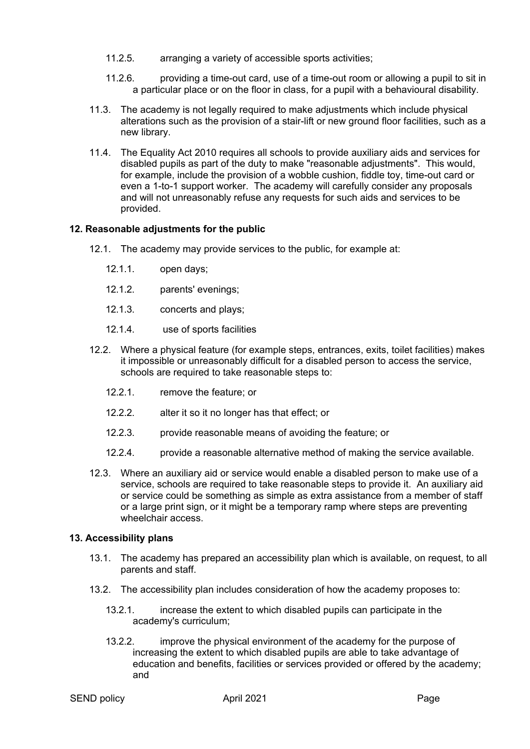- 11.2.5. arranging a variety of accessible sports activities;
- 11.2.6. providing a time-out card, use of a time-out room or allowing a pupil to sit in a particular place or on the floor in class, for a pupil with a behavioural disability.
- 11.3. The academy is not legally required to make adjustments which include physical alterations such as the provision of a stair-lift or new ground floor facilities, such as a new library.
- 11.4. The Equality Act 2010 requires all schools to provide auxiliary aids and services for disabled pupils as part of the duty to make "reasonable adjustments". This would, for example, include the provision of a wobble cushion, fiddle toy, time-out card or even a 1-to-1 support worker. The academy will carefully consider any proposals and will not unreasonably refuse any requests for such aids and services to be provided.

#### **12. Reasonable adjustments for the public**

- 12.1. The academy may provide services to the public, for example at:
	- 12.1.1. open days;
	- 12.1.2. parents' evenings;
	- 12.1.3. concerts and plays;
	- 12.1.4. use of sports facilities
- 12.2. Where a physical feature (for example steps, entrances, exits, toilet facilities) makes it impossible or unreasonably difficult for a disabled person to access the service, schools are required to take reasonable steps to:
	- 12.2.1. remove the feature; or
	- 12.2.2. alter it so it no longer has that effect; or
	- 12.2.3. provide reasonable means of avoiding the feature; or
	- 12.2.4. provide a reasonable alternative method of making the service available.
- 12.3. Where an auxiliary aid or service would enable a disabled person to make use of a service, schools are required to take reasonable steps to provide it. An auxiliary aid or service could be something as simple as extra assistance from a member of staff or a large print sign, or it might be a temporary ramp where steps are preventing wheelchair access.

#### **13. Accessibility plans**

- 13.1. The academy has prepared an accessibility plan which is available, on request, to all parents and staff.
- 13.2. The accessibility plan includes consideration of how the academy proposes to:
	- 13.2.1. increase the extent to which disabled pupils can participate in the academy's curriculum;
	- 13.2.2. improve the physical environment of the academy for the purpose of increasing the extent to which disabled pupils are able to take advantage of education and benefits, facilities or services provided or offered by the academy; and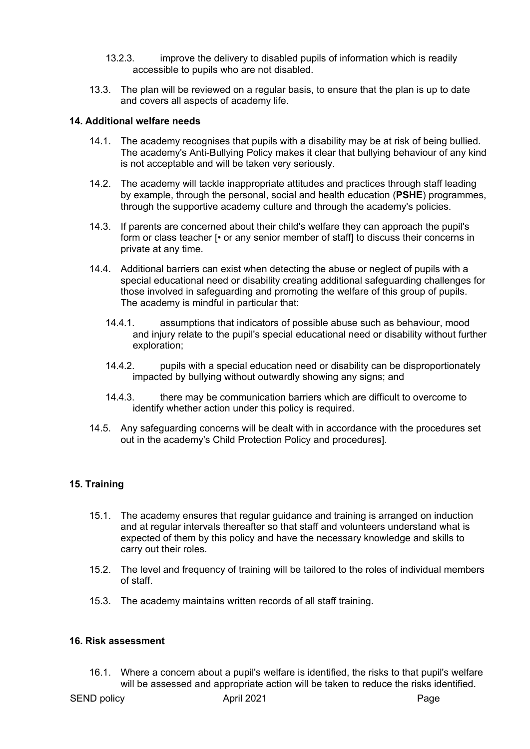- 13.2.3. improve the delivery to disabled pupils of information which is readily accessible to pupils who are not disabled.
- 13.3. The plan will be reviewed on a regular basis, to ensure that the plan is up to date and covers all aspects of academy life.

#### **14. Additional welfare needs**

- 14.1. The academy recognises that pupils with a disability may be at risk of being bullied. The academy's Anti-Bullying Policy makes it clear that bullying behaviour of any kind is not acceptable and will be taken very seriously.
- 14.2. The academy will tackle inappropriate attitudes and practices through staff leading by example, through the personal, social and health education (**PSHE**) programmes, through the supportive academy culture and through the academy's policies.
- 14.3. If parents are concerned about their child's welfare they can approach the pupil's form or class teacher [• or any senior member of staff] to discuss their concerns in private at any time.
- 14.4. Additional barriers can exist when detecting the abuse or neglect of pupils with a special educational need or disability creating additional safeguarding challenges for those involved in safeguarding and promoting the welfare of this group of pupils. The academy is mindful in particular that:
	- 14.4.1. assumptions that indicators of possible abuse such as behaviour, mood and injury relate to the pupil's special educational need or disability without further exploration;
	- 14.4.2. pupils with a special education need or disability can be disproportionately impacted by bullying without outwardly showing any signs; and
	- 14.4.3. there may be communication barriers which are difficult to overcome to identify whether action under this policy is required.
- 14.5. Any safeguarding concerns will be dealt with in accordance with the procedures set out in the academy's Child Protection Policy and procedures].

#### **15. Training**

- 15.1. The academy ensures that regular guidance and training is arranged on induction and at regular intervals thereafter so that staff and volunteers understand what is expected of them by this policy and have the necessary knowledge and skills to carry out their roles.
- 15.2. The level and frequency of training will be tailored to the roles of individual members of staff.
- 15.3. The academy maintains written records of all staff training.

#### **16. Risk assessment**

16.1. Where a concern about a pupil's welfare is identified, the risks to that pupil's welfare will be assessed and appropriate action will be taken to reduce the risks identified.